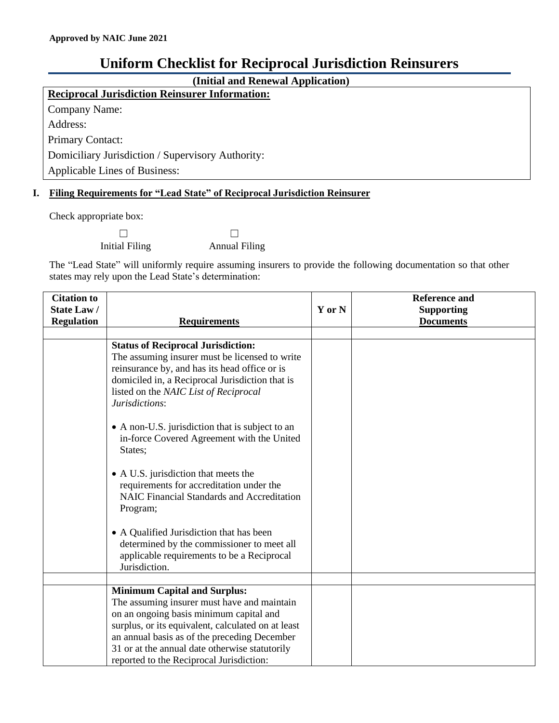# **Uniform Checklist for Reciprocal Jurisdiction Reinsurers**

**(Initial and Renewal Application)**

## **Reciprocal Jurisdiction Reinsurer Information:** Company Name:

Address:

Primary Contact:

Domiciliary Jurisdiction / Supervisory Authority:

Applicable Lines of Business:

## **I. Filing Requirements for "Lead State" of Reciprocal Jurisdiction Reinsurer**

Check appropriate box:

☐ Initial Filing

Annual Filing

☐

The "Lead State" will uniformly require assuming insurers to provide the following documentation so that other states may rely upon the Lead State's determination:

| <b>Citation to</b> |                                                         |        | <b>Reference and</b> |
|--------------------|---------------------------------------------------------|--------|----------------------|
| State Law/         |                                                         | Y or N | <b>Supporting</b>    |
| <b>Regulation</b>  | <b>Requirements</b>                                     |        | <b>Documents</b>     |
|                    |                                                         |        |                      |
|                    | <b>Status of Reciprocal Jurisdiction:</b>               |        |                      |
|                    | The assuming insurer must be licensed to write          |        |                      |
|                    | reinsurance by, and has its head office or is           |        |                      |
|                    | domiciled in, a Reciprocal Jurisdiction that is         |        |                      |
|                    | listed on the NAIC List of Reciprocal<br>Jurisdictions: |        |                      |
|                    |                                                         |        |                      |
|                    | • A non-U.S. jurisdiction that is subject to an         |        |                      |
|                    | in-force Covered Agreement with the United              |        |                      |
|                    | States;                                                 |        |                      |
|                    |                                                         |        |                      |
|                    | • A U.S. jurisdiction that meets the                    |        |                      |
|                    | requirements for accreditation under the                |        |                      |
|                    | NAIC Financial Standards and Accreditation              |        |                      |
|                    | Program;                                                |        |                      |
|                    | • A Qualified Jurisdiction that has been                |        |                      |
|                    | determined by the commissioner to meet all              |        |                      |
|                    | applicable requirements to be a Reciprocal              |        |                      |
|                    | Jurisdiction.                                           |        |                      |
|                    |                                                         |        |                      |
|                    | <b>Minimum Capital and Surplus:</b>                     |        |                      |
|                    | The assuming insurer must have and maintain             |        |                      |
|                    | on an ongoing basis minimum capital and                 |        |                      |
|                    | surplus, or its equivalent, calculated on at least      |        |                      |
|                    | an annual basis as of the preceding December            |        |                      |
|                    | 31 or at the annual date otherwise statutorily          |        |                      |
|                    | reported to the Reciprocal Jurisdiction:                |        |                      |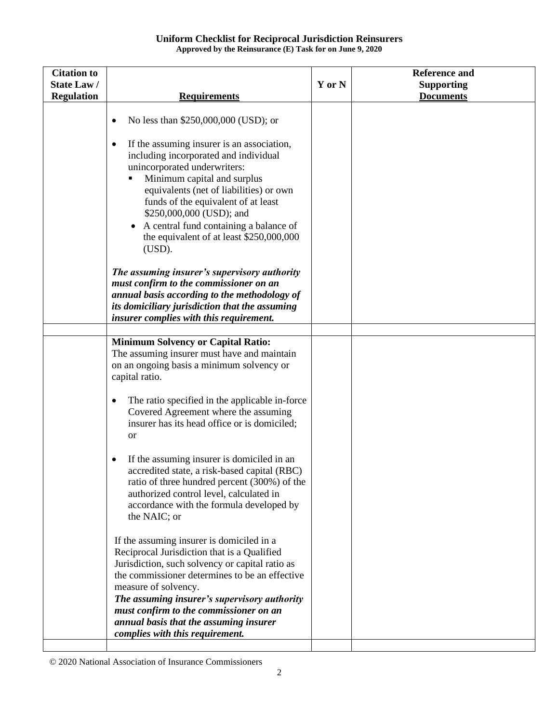#### **Uniform Checklist for Reciprocal Jurisdiction Reinsurers Approved by the Reinsurance (E) Task for on June 9, 2020**

| <b>Citation to</b><br>State Law/ |                                                                                                                                                                                                                                                                                                                                                                                                                                                                                                                                                                                                                                                                                                                                                                                                                                                                                                                                                                                  | Y or N | <b>Reference and</b><br><b>Supporting</b> |
|----------------------------------|----------------------------------------------------------------------------------------------------------------------------------------------------------------------------------------------------------------------------------------------------------------------------------------------------------------------------------------------------------------------------------------------------------------------------------------------------------------------------------------------------------------------------------------------------------------------------------------------------------------------------------------------------------------------------------------------------------------------------------------------------------------------------------------------------------------------------------------------------------------------------------------------------------------------------------------------------------------------------------|--------|-------------------------------------------|
| <b>Regulation</b>                | <b>Requirements</b>                                                                                                                                                                                                                                                                                                                                                                                                                                                                                                                                                                                                                                                                                                                                                                                                                                                                                                                                                              |        | <b>Documents</b>                          |
|                                  | No less than \$250,000,000 (USD); or<br>$\bullet$<br>If the assuming insurer is an association,<br>$\bullet$<br>including incorporated and individual<br>unincorporated underwriters:<br>Minimum capital and surplus<br>п<br>equivalents (net of liabilities) or own<br>funds of the equivalent of at least<br>\$250,000,000 (USD); and<br>A central fund containing a balance of<br>the equivalent of at least \$250,000,000<br>(USD).<br>The assuming insurer's supervisory authority<br>must confirm to the commissioner on an<br>annual basis according to the methodology of<br>its domiciliary jurisdiction that the assuming<br>insurer complies with this requirement.                                                                                                                                                                                                                                                                                                   |        |                                           |
|                                  |                                                                                                                                                                                                                                                                                                                                                                                                                                                                                                                                                                                                                                                                                                                                                                                                                                                                                                                                                                                  |        |                                           |
|                                  | <b>Minimum Solvency or Capital Ratio:</b><br>The assuming insurer must have and maintain<br>on an ongoing basis a minimum solvency or<br>capital ratio.<br>The ratio specified in the applicable in-force<br>Covered Agreement where the assuming<br>insurer has its head office or is domiciled;<br><b>or</b><br>If the assuming insurer is domiciled in an<br>$\bullet$<br>accredited state, a risk-based capital (RBC)<br>ratio of three hundred percent (300%) of the<br>authorized control level, calculated in<br>accordance with the formula developed by<br>the NAIC; or<br>If the assuming insurer is domiciled in a<br>Reciprocal Jurisdiction that is a Qualified<br>Jurisdiction, such solvency or capital ratio as<br>the commissioner determines to be an effective<br>measure of solvency.<br>The assuming insurer's supervisory authority<br>must confirm to the commissioner on an<br>annual basis that the assuming insurer<br>complies with this requirement. |        |                                           |

© 2020 National Association of Insurance Commissioners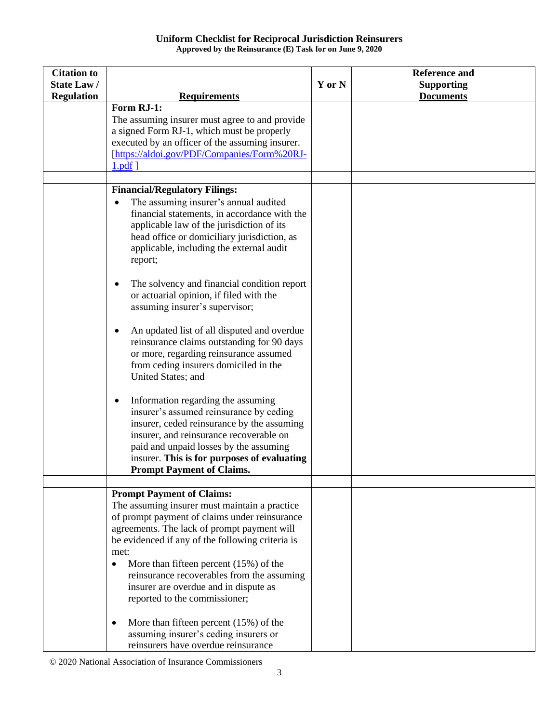#### **Uniform Checklist for Reciprocal Jurisdiction Reinsurers Approved by the Reinsurance (E) Task for on June 9, 2020**

| <b>Citation to</b> |                                                          |        | <b>Reference and</b> |
|--------------------|----------------------------------------------------------|--------|----------------------|
| State Law/         |                                                          | Y or N | <b>Supporting</b>    |
| <b>Regulation</b>  | <b>Requirements</b>                                      |        | <b>Documents</b>     |
|                    | Form RJ-1:                                               |        |                      |
|                    |                                                          |        |                      |
|                    | The assuming insurer must agree to and provide           |        |                      |
|                    | a signed Form RJ-1, which must be properly               |        |                      |
|                    | executed by an officer of the assuming insurer.          |        |                      |
|                    | [https://aldoi.gov/PDF/Companies/Form%20RJ-              |        |                      |
|                    | 1.pdf                                                    |        |                      |
|                    |                                                          |        |                      |
|                    | <b>Financial/Regulatory Filings:</b>                     |        |                      |
|                    | The assuming insurer's annual audited<br>$\bullet$       |        |                      |
|                    | financial statements, in accordance with the             |        |                      |
|                    | applicable law of the jurisdiction of its                |        |                      |
|                    | head office or domiciliary jurisdiction, as              |        |                      |
|                    | applicable, including the external audit                 |        |                      |
|                    | report;                                                  |        |                      |
|                    | The solvency and financial condition report<br>٠         |        |                      |
|                    | or actuarial opinion, if filed with the                  |        |                      |
|                    | assuming insurer's supervisor;                           |        |                      |
|                    |                                                          |        |                      |
|                    | An updated list of all disputed and overdue<br>$\bullet$ |        |                      |
|                    | reinsurance claims outstanding for 90 days               |        |                      |
|                    | or more, regarding reinsurance assumed                   |        |                      |
|                    | from ceding insurers domiciled in the                    |        |                      |
|                    | United States; and                                       |        |                      |
|                    |                                                          |        |                      |
|                    | Information regarding the assuming<br>$\bullet$          |        |                      |
|                    | insurer's assumed reinsurance by ceding                  |        |                      |
|                    | insurer, ceded reinsurance by the assuming               |        |                      |
|                    | insurer, and reinsurance recoverable on                  |        |                      |
|                    | paid and unpaid losses by the assuming                   |        |                      |
|                    | insurer. This is for purposes of evaluating              |        |                      |
|                    | <b>Prompt Payment of Claims.</b>                         |        |                      |
|                    |                                                          |        |                      |
|                    | <b>Prompt Payment of Claims:</b>                         |        |                      |
|                    | The assuming insurer must maintain a practice            |        |                      |
|                    | of prompt payment of claims under reinsurance            |        |                      |
|                    | agreements. The lack of prompt payment will              |        |                      |
|                    | be evidenced if any of the following criteria is         |        |                      |
|                    | met:                                                     |        |                      |
|                    | More than fifteen percent $(15%)$ of the<br>٠            |        |                      |
|                    | reinsurance recoverables from the assuming               |        |                      |
|                    | insurer are overdue and in dispute as                    |        |                      |
|                    | reported to the commissioner;                            |        |                      |
|                    | More than fifteen percent $(15%)$ of the<br>$\bullet$    |        |                      |
|                    | assuming insurer's ceding insurers or                    |        |                      |
|                    | reinsurers have overdue reinsurance                      |        |                      |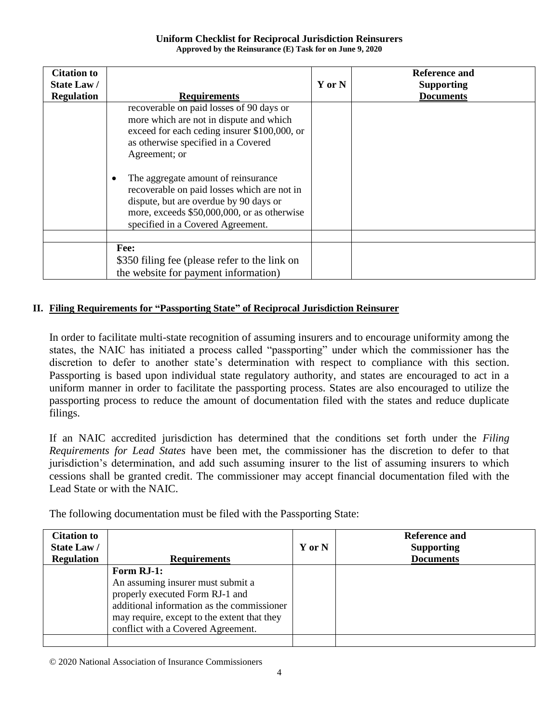#### **Uniform Checklist for Reciprocal Jurisdiction Reinsurers Approved by the Reinsurance (E) Task for on June 9, 2020**

| <b>Citation to</b><br>State Law/<br><b>Regulation</b> | <b>Requirements</b>                                                                                                                                                                                                                                                                                                                                                                                             | Y or N | Reference and<br><b>Supporting</b><br><b>Documents</b> |
|-------------------------------------------------------|-----------------------------------------------------------------------------------------------------------------------------------------------------------------------------------------------------------------------------------------------------------------------------------------------------------------------------------------------------------------------------------------------------------------|--------|--------------------------------------------------------|
|                                                       | recoverable on paid losses of 90 days or<br>more which are not in dispute and which<br>exceed for each ceding insurer \$100,000, or<br>as otherwise specified in a Covered<br>Agreement; or<br>The aggregate amount of reinsurance<br>recoverable on paid losses which are not in<br>dispute, but are overdue by 90 days or<br>more, exceeds \$50,000,000, or as otherwise<br>specified in a Covered Agreement. |        |                                                        |
|                                                       | Fee:<br>\$350 filing fee (please refer to the link on<br>the website for payment information)                                                                                                                                                                                                                                                                                                                   |        |                                                        |

## **II. Filing Requirements for "Passporting State" of Reciprocal Jurisdiction Reinsurer**

In order to facilitate multi-state recognition of assuming insurers and to encourage uniformity among the states, the NAIC has initiated a process called "passporting" under which the commissioner has the discretion to defer to another state's determination with respect to compliance with this section. Passporting is based upon individual state regulatory authority, and states are encouraged to act in a uniform manner in order to facilitate the passporting process. States are also encouraged to utilize the passporting process to reduce the amount of documentation filed with the states and reduce duplicate filings.

If an NAIC accredited jurisdiction has determined that the conditions set forth under the *Filing Requirements for Lead States* have been met, the commissioner has the discretion to defer to that jurisdiction's determination, and add such assuming insurer to the list of assuming insurers to which cessions shall be granted credit. The commissioner may accept financial documentation filed with the Lead State or with the NAIC.

The following documentation must be filed with the Passporting State:

| <b>Citation to</b><br>State Law/<br><b>Regulation</b> | <b>Requirements</b>                                                                                                                                                                                                   | Y or N | Reference and<br><b>Supporting</b><br><b>Documents</b> |
|-------------------------------------------------------|-----------------------------------------------------------------------------------------------------------------------------------------------------------------------------------------------------------------------|--------|--------------------------------------------------------|
|                                                       | Form RJ-1:<br>An assuming insurer must submit a<br>properly executed Form RJ-1 and<br>additional information as the commissioner<br>may require, except to the extent that they<br>conflict with a Covered Agreement. |        |                                                        |
|                                                       |                                                                                                                                                                                                                       |        |                                                        |

© 2020 National Association of Insurance Commissioners